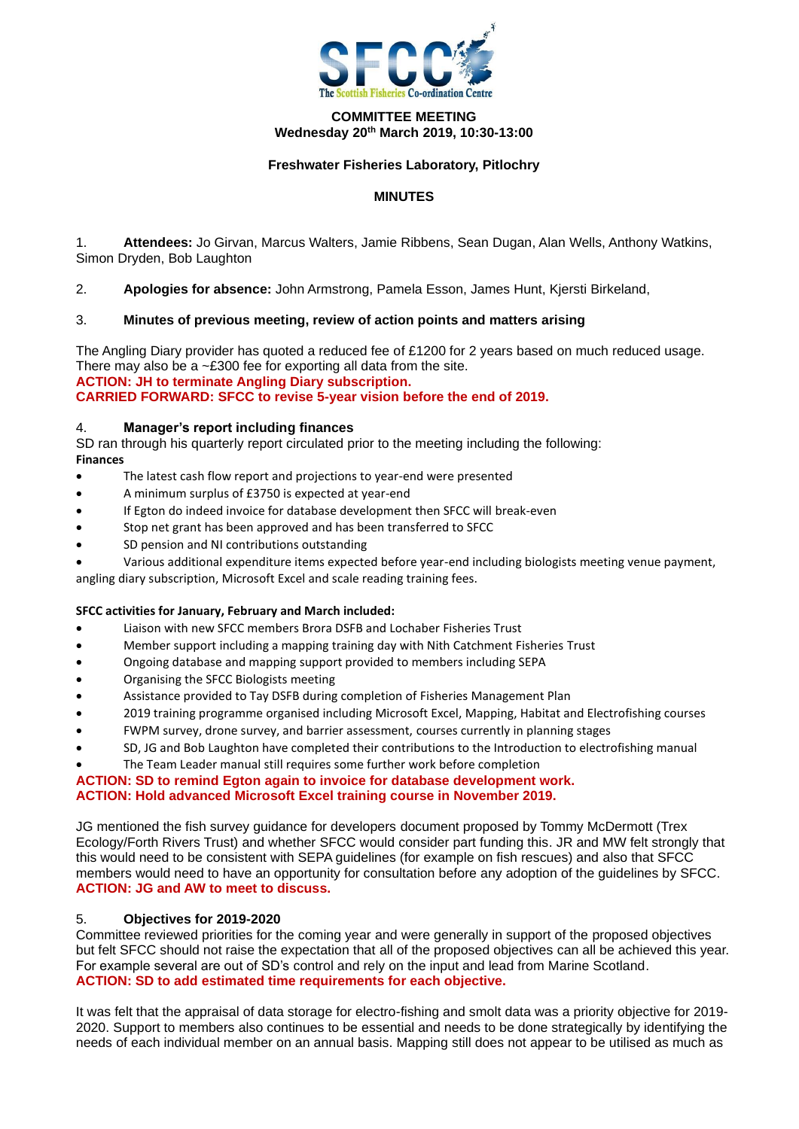

## **COMMITTEE MEETING Wednesday 20th March 2019, 10:30-13:00**

## **Freshwater Fisheries Laboratory, Pitlochry**

## **MINUTES**

1. **Attendees:** Jo Girvan, Marcus Walters, Jamie Ribbens, Sean Dugan, Alan Wells, Anthony Watkins, Simon Dryden, Bob Laughton

2. **Apologies for absence:** John Armstrong, Pamela Esson, James Hunt, Kjersti Birkeland,

## 3. **Minutes of previous meeting, review of action points and matters arising**

The Angling Diary provider has quoted a reduced fee of £1200 for 2 years based on much reduced usage. There may also be a  $\sim$ £300 fee for exporting all data from the site. **ACTION: JH to terminate Angling Diary subscription. CARRIED FORWARD: SFCC to revise 5-year vision before the end of 2019.**

### 4. **Manager's report including finances**

SD ran through his quarterly report circulated prior to the meeting including the following: **Finances**

- The latest cash flow report and projections to year-end were presented
- A minimum surplus of £3750 is expected at year-end
- If Egton do indeed invoice for database development then SFCC will break-even
- Stop net grant has been approved and has been transferred to SFCC
- SD pension and NI contributions outstanding

• Various additional expenditure items expected before year-end including biologists meeting venue payment, angling diary subscription, Microsoft Excel and scale reading training fees.

### **SFCC activities for January, February and March included:**

- Liaison with new SFCC members Brora DSFB and Lochaber Fisheries Trust
- Member support including a mapping training day with Nith Catchment Fisheries Trust
- Ongoing database and mapping support provided to members including SEPA
- Organising the SFCC Biologists meeting
- Assistance provided to Tay DSFB during completion of Fisheries Management Plan
- 2019 training programme organised including Microsoft Excel, Mapping, Habitat and Electrofishing courses
- FWPM survey, drone survey, and barrier assessment, courses currently in planning stages
- SD, JG and Bob Laughton have completed their contributions to the Introduction to electrofishing manual
- The Team Leader manual still requires some further work before completion

### **ACTION: SD to remind Egton again to invoice for database development work. ACTION: Hold advanced Microsoft Excel training course in November 2019.**

JG mentioned the fish survey guidance for developers document proposed by Tommy McDermott (Trex Ecology/Forth Rivers Trust) and whether SFCC would consider part funding this. JR and MW felt strongly that this would need to be consistent with SEPA guidelines (for example on fish rescues) and also that SFCC members would need to have an opportunity for consultation before any adoption of the guidelines by SFCC. **ACTION: JG and AW to meet to discuss.**

## 5. **Objectives for 2019-2020**

Committee reviewed priorities for the coming year and were generally in support of the proposed objectives but felt SFCC should not raise the expectation that all of the proposed objectives can all be achieved this year. For example several are out of SD's control and rely on the input and lead from Marine Scotland. **ACTION: SD to add estimated time requirements for each objective.**

It was felt that the appraisal of data storage for electro-fishing and smolt data was a priority objective for 2019- 2020. Support to members also continues to be essential and needs to be done strategically by identifying the needs of each individual member on an annual basis. Mapping still does not appear to be utilised as much as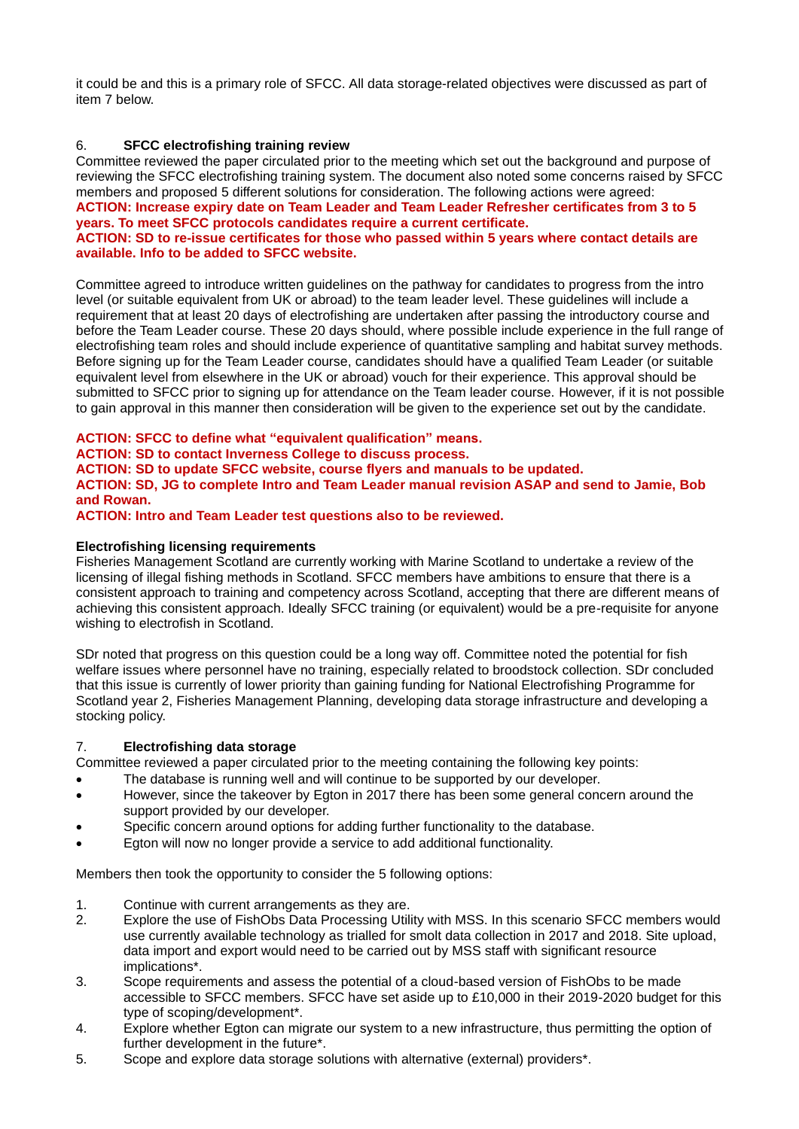it could be and this is a primary role of SFCC. All data storage-related objectives were discussed as part of item 7 below.

## 6. **SFCC electrofishing training review**

Committee reviewed the paper circulated prior to the meeting which set out the background and purpose of reviewing the SFCC electrofishing training system. The document also noted some concerns raised by SFCC members and proposed 5 different solutions for consideration. The following actions were agreed: **ACTION: Increase expiry date on Team Leader and Team Leader Refresher certificates from 3 to 5** 

# **years. To meet SFCC protocols candidates require a current certificate. ACTION: SD to re-issue certificates for those who passed within 5 years where contact details are**

# **available. Info to be added to SFCC website.**

Committee agreed to introduce written guidelines on the pathway for candidates to progress from the intro level (or suitable equivalent from UK or abroad) to the team leader level. These guidelines will include a requirement that at least 20 days of electrofishing are undertaken after passing the introductory course and before the Team Leader course. These 20 days should, where possible include experience in the full range of electrofishing team roles and should include experience of quantitative sampling and habitat survey methods. Before signing up for the Team Leader course, candidates should have a qualified Team Leader (or suitable equivalent level from elsewhere in the UK or abroad) vouch for their experience. This approval should be submitted to SFCC prior to signing up for attendance on the Team leader course. However, if it is not possible to gain approval in this manner then consideration will be given to the experience set out by the candidate.

# **ACTION: SFCC to define what "equivalent qualification" means.**

# **ACTION: SD to contact Inverness College to discuss process.**

## **ACTION: SD to update SFCC website, course flyers and manuals to be updated.**

**ACTION: SD, JG to complete Intro and Team Leader manual revision ASAP and send to Jamie, Bob and Rowan.**

**ACTION: Intro and Team Leader test questions also to be reviewed.**

## **Electrofishing licensing requirements**

Fisheries Management Scotland are currently working with Marine Scotland to undertake a review of the licensing of illegal fishing methods in Scotland. SFCC members have ambitions to ensure that there is a consistent approach to training and competency across Scotland, accepting that there are different means of achieving this consistent approach. Ideally SFCC training (or equivalent) would be a pre-requisite for anyone wishing to electrofish in Scotland.

SDr noted that progress on this question could be a long way off. Committee noted the potential for fish welfare issues where personnel have no training, especially related to broodstock collection. SDr concluded that this issue is currently of lower priority than gaining funding for National Electrofishing Programme for Scotland year 2, Fisheries Management Planning, developing data storage infrastructure and developing a stocking policy.

# 7. **Electrofishing data storage**

Committee reviewed a paper circulated prior to the meeting containing the following key points:

- The database is running well and will continue to be supported by our developer.
- However, since the takeover by Egton in 2017 there has been some general concern around the support provided by our developer.
- Specific concern around options for adding further functionality to the database.
- Egton will now no longer provide a service to add additional functionality.

Members then took the opportunity to consider the 5 following options:

- 1. Continue with current arrangements as they are.<br>2. Explore the use of FishObs Data Processing Utili
- Explore the use of FishObs Data Processing Utility with MSS. In this scenario SFCC members would use currently available technology as trialled for smolt data collection in 2017 and 2018. Site upload, data import and export would need to be carried out by MSS staff with significant resource implications\*.
- 3. Scope requirements and assess the potential of a cloud-based version of FishObs to be made accessible to SFCC members. SFCC have set aside up to £10,000 in their 2019-2020 budget for this type of scoping/development\*.
- 4. Explore whether Egton can migrate our system to a new infrastructure, thus permitting the option of further development in the future\*.
- 5. Scope and explore data storage solutions with alternative (external) providers\*.